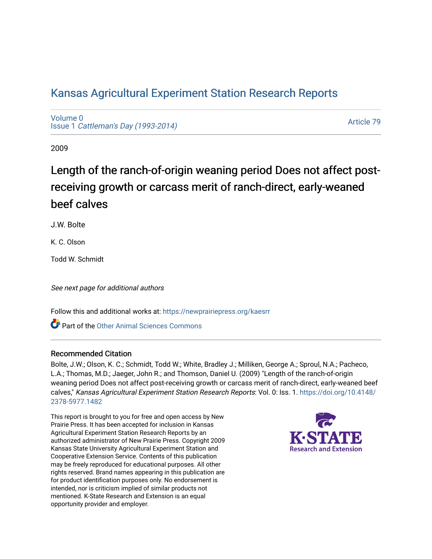# [Kansas Agricultural Experiment Station Research Reports](https://newprairiepress.org/kaesrr)

[Volume 0](https://newprairiepress.org/kaesrr/vol0) Issue 1 [Cattleman's Day \(1993-2014\)](https://newprairiepress.org/kaesrr/vol0/iss1) 

[Article 79](https://newprairiepress.org/kaesrr/vol0/iss1/79) 

2009

# Length of the ranch-of-origin weaning period Does not affect postreceiving growth or carcass merit of ranch-direct, early-weaned beef calves

J.W. Bolte

K. C. Olson

Todd W. Schmidt

See next page for additional authors

Follow this and additional works at: [https://newprairiepress.org/kaesrr](https://newprairiepress.org/kaesrr?utm_source=newprairiepress.org%2Fkaesrr%2Fvol0%2Fiss1%2F79&utm_medium=PDF&utm_campaign=PDFCoverPages) 

Part of the [Other Animal Sciences Commons](http://network.bepress.com/hgg/discipline/82?utm_source=newprairiepress.org%2Fkaesrr%2Fvol0%2Fiss1%2F79&utm_medium=PDF&utm_campaign=PDFCoverPages)

#### Recommended Citation

Bolte, J.W.; Olson, K. C.; Schmidt, Todd W.; White, Bradley J.; Milliken, George A.; Sproul, N.A.; Pacheco, L.A.; Thomas, M.D.; Jaeger, John R.; and Thomson, Daniel U. (2009) "Length of the ranch-of-origin weaning period Does not affect post-receiving growth or carcass merit of ranch-direct, early-weaned beef calves," Kansas Agricultural Experiment Station Research Reports: Vol. 0: Iss. 1. [https://doi.org/10.4148/](https://doi.org/10.4148/2378-5977.1482) [2378-5977.1482](https://doi.org/10.4148/2378-5977.1482) 

This report is brought to you for free and open access by New Prairie Press. It has been accepted for inclusion in Kansas Agricultural Experiment Station Research Reports by an authorized administrator of New Prairie Press. Copyright 2009 Kansas State University Agricultural Experiment Station and Cooperative Extension Service. Contents of this publication may be freely reproduced for educational purposes. All other rights reserved. Brand names appearing in this publication are for product identification purposes only. No endorsement is intended, nor is criticism implied of similar products not mentioned. K-State Research and Extension is an equal opportunity provider and employer.

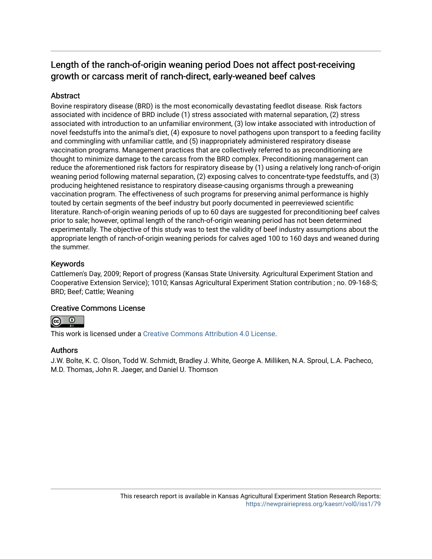## Length of the ranch-of-origin weaning period Does not affect post-receiving growth or carcass merit of ranch-direct, early-weaned beef calves

### **Abstract**

Bovine respiratory disease (BRD) is the most economically devastating feedlot disease. Risk factors associated with incidence of BRD include (1) stress associated with maternal separation, (2) stress associated with introduction to an unfamiliar environment, (3) low intake associated with introduction of novel feedstuffs into the animal's diet, (4) exposure to novel pathogens upon transport to a feeding facility and commingling with unfamiliar cattle, and (5) inappropriately administered respiratory disease vaccination programs. Management practices that are collectively referred to as preconditioning are thought to minimize damage to the carcass from the BRD complex. Preconditioning management can reduce the aforementioned risk factors for respiratory disease by (1) using a relatively long ranch-of-origin weaning period following maternal separation, (2) exposing calves to concentrate-type feedstuffs, and (3) producing heightened resistance to respiratory disease-causing organisms through a preweaning vaccination program. The effectiveness of such programs for preserving animal performance is highly touted by certain segments of the beef industry but poorly documented in peerreviewed scientific literature. Ranch-of-origin weaning periods of up to 60 days are suggested for preconditioning beef calves prior to sale; however, optimal length of the ranch-of-origin weaning period has not been determined experimentally. The objective of this study was to test the validity of beef industry assumptions about the appropriate length of ranch-of-origin weaning periods for calves aged 100 to 160 days and weaned during the summer.

#### Keywords

Cattlemen's Day, 2009; Report of progress (Kansas State University. Agricultural Experiment Station and Cooperative Extension Service); 1010; Kansas Agricultural Experiment Station contribution ; no. 09-168-S; BRD; Beef; Cattle; Weaning

#### Creative Commons License



This work is licensed under a [Creative Commons Attribution 4.0 License](https://creativecommons.org/licenses/by/4.0/).

#### Authors

J.W. Bolte, K. C. Olson, Todd W. Schmidt, Bradley J. White, George A. Milliken, N.A. Sproul, L.A. Pacheco, M.D. Thomas, John R. Jaeger, and Daniel U. Thomson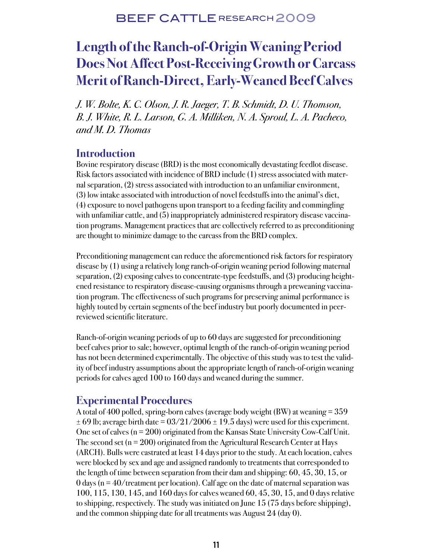# **Length of the Ranch-of-Origin Weaning Period Does Not Affect Post-Receiving Growth or Carcass Merit of Ranch-Direct, Early-Weaned Beef Calves**

J. W. Bolte, K. C. Olson, J. R. Jaeger, T. B. Schmidt, D. U. Thomson, B. J. White, R. L. Larson, G. A. Milliken, N. A. Sproul, L. A. Pacheco, and M. D. Thomas

### **Introduction**

Bovine respiratory disease (BRD) is the most economically devastating feedlot disease. Risk factors associated with incidence of BRD include (1) stress associated with maternal separation, (2) stress associated with introduction to an unfamiliar environment, (3) low intake associated with introduction of novel feedstuffs into the animal's diet, (4) exposure to novel pathogens upon transport to a feeding facility and commingling with unfamiliar cattle, and (5) inappropriately administered respiratory disease vaccination programs. Management practices that are collectively referred to as preconditioning are thought to minimize damage to the carcass from the BRD complex.

Preconditioning management can reduce the aforementioned risk factors for respiratory disease by (1) using a relatively long ranch-of-origin weaning period following maternal separation, (2) exposing calves to concentrate-type feedstuffs, and (3) producing heightened resistance to respiratory disease-causing organisms through a preweaning vaccination program. The effectiveness of such programs for preserving animal performance is highly touted by certain segments of the beef industry but poorly documented in peerreviewed scientific literature.

Ranch-of-origin weaning periods of up to 60 days are suggested for preconditioning beef calves prior to sale; however, optimal length of the ranch-of-origin weaning period has not been determined experimentally. The objective of this study was to test the validity of beef industry assumptions about the appropriate length of ranch-of-origin weaning periods for calves aged 100 to 160 days and weaned during the summer.

## **Experimental Procedures**

A total of 400 polled, spring-born calves (average body weight (BW) at weaning  $= 359$  $\pm$  69 lb; average birth date = 03/21/2006  $\pm$  19.5 days) were used for this experiment. One set of calves  $(n = 200)$  originated from the Kansas State University Cow-Calf Unit. The second set ( $n = 200$ ) originated from the Agricultural Research Center at Hays (ARCH). Bulls were castrated at least 14 days prior to the study. At each location, calves were blocked by sex and age and assigned randomly to treatments that corresponded to the length of time between separation from their dam and shipping: 60, 45, 30, 15, or 0 days ( $n = 40$ /treatment per location). Calf age on the date of maternal separation was 100, 115, 130, 145, and 160 days for calves weaned 60, 45, 30, 15, and 0 days relative to shipping, respectively. The study was initiated on June 15 (75 days before shipping), and the common shipping date for all treatments was August 24 (day 0).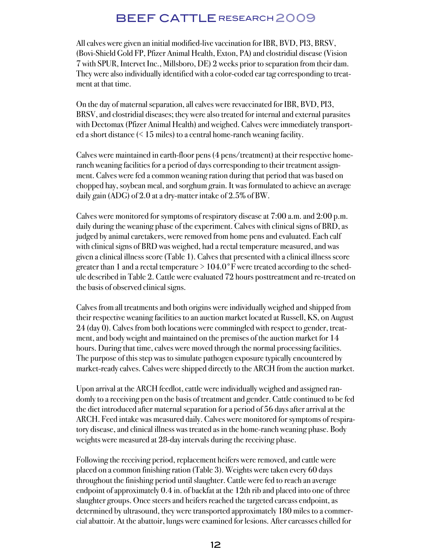All calves were given an initial modified-live vaccination for IBR, BVD, PI3, BRSV, (Bovi-Shield Gold FP, Pfizer Animal Health, Exton, PA) and clostridial disease (Vision 7 with SPUR, Intervet Inc., Millsboro, DE) 2 weeks prior to separation from their dam. They were also individually identified with a color-coded ear tag corresponding to treatment at that time.

On the day of maternal separation, all calves were revaccinated for IBR, BVD, PI3, BRSV, and clostridial diseases; they were also treated for internal and external parasites with Dectomax (Pfizer Animal Health) and weighed. Calves were immediately transported a short distance  $($  < 15 miles) to a central home-ranch weaning facility.

Calves were maintained in earth-floor pens (4 pens/treatment) at their respective homeranch weaning facilities for a period of days corresponding to their treatment assignment. Calves were fed a common weaning ration during that period that was based on chopped hay, soybean meal, and sorghum grain. It was formulated to achieve an average daily gain (ADG) of 2.0 at a dry-matter intake of 2.5% of BW.

Calves were monitored for symptoms of respiratory disease at 7:00 a.m. and 2:00 p.m. daily during the weaning phase of the experiment. Calves with clinical signs of BRD, as judged by animal caretakers, were removed from home pens and evaluated. Each calf with clinical signs of BRD was weighed, had a rectal temperature measured, and was given a clinical illness score (Table 1). Calves that presented with a clinical illness score greater than 1 and a rectal temperature  $> 104.0^{\circ}$  F were treated according to the schedule described in Table 2. Cattle were evaluated 72 hours posttreatment and re-treated on the basis of observed clinical signs.

Calves from all treatments and both origins were individually weighed and shipped from their respective weaning facilities to an auction market located at Russell, KS, on August 24 (day 0). Calves from both locations were commingled with respect to gender, treatment, and body weight and maintained on the premises of the auction market for 14 hours. During that time, calves were moved through the normal processing facilities. The purpose of this step was to simulate pathogen exposure typically encountered by market-ready calves. Calves were shipped directly to the ARCH from the auction market.

Upon arrival at the ARCH feedlot, cattle were individually weighed and assigned randomly to a receiving pen on the basis of treatment and gender. Cattle continued to be fed the diet introduced after maternal separation for a period of 56 days after arrival at the ARCH. Feed intake was measured daily. Calves were monitored for symptoms of respiratory disease, and clinical illness was treated as in the home-ranch weaning phase. Body weights were measured at 28-day intervals during the receiving phase.

Following the receiving period, replacement heifers were removed, and cattle were placed on a common finishing ration (Table 3). Weights were taken every 60 days throughout the finishing period until slaughter. Cattle were fed to reach an average endpoint of approximately 0.4 in. of backfat at the 12th rib and placed into one of three slaughter groups. Once steers and heifers reached the targeted carcass endpoint, as determined by ultrasound, they were transported approximately 180 miles to a commercial abattoir. At the abattoir, lungs were examined for lesions. After carcasses chilled for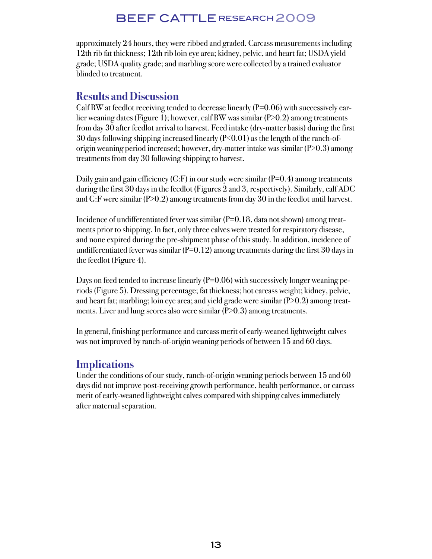approximately 24 hours, they were ribbed and graded. Carcass measurements including 12th rib fat thickness; 12th rib loin eye area; kidney, pelvic, and heart fat; USDA yield grade; USDA quality grade; and marbling score were collected by a trained evaluator blinded to treatment.

### **Results and Discussion**

Calf BW at feedlot receiving tended to decrease linearly  $(P=0.06)$  with successively earlier weaning dates (Figure 1); however, calf BW was similar (P>0.2) among treatments from day 30 after feedlot arrival to harvest. Feed intake (dry-matter basis) during the first 30 days following shipping increased linearly  $(P<0.01)$  as the length of the ranch-oforigin weaning period increased; however, dry-matter intake was similar (P>0.3) among treatments from day 30 following shipping to harvest.

Daily gain and gain efficiency (G:F) in our study were similar ( $P=0.4$ ) among treatments during the first 30 days in the feedlot (Figures 2 and 3, respectively). Similarly, calf ADG and G:F were similar  $(P>0.2)$  among treatments from day 30 in the feedlot until harvest.

Incidence of undifferentiated fever was similar  $(P=0.18)$ , data not shown) among treatments prior to shipping. In fact, only three calves were treated for respiratory disease, and none expired during the pre-shipment phase of this study. In addition, incidence of undifferentiated fever was similar  $(P=0.12)$  among treatments during the first 30 days in the feedlot (Figure 4).

Days on feed tended to increase linearly  $(P=0.06)$  with successively longer weaning periods (Figure 5). Dressing percentage; fat thickness; hot carcass weight; kidney, pelvic, and heart fat; marbling; loin eye area; and yield grade were similar  $(P>0.2)$  among treatments. Liver and lung scores also were similar  $(P>0.3)$  among treatments.

In general, finishing performance and carcass merit of early-weaned lightweight calves was not improved by ranch-of-origin weaning periods of between 15 and 60 days.

## **Implications**

Under the conditions of our study, ranch-of-origin weaning periods between 15 and 60 days did not improve post-receiving growth performance, health performance, or carcass merit of early-weaned lightweight calves compared with shipping calves immediately after maternal separation.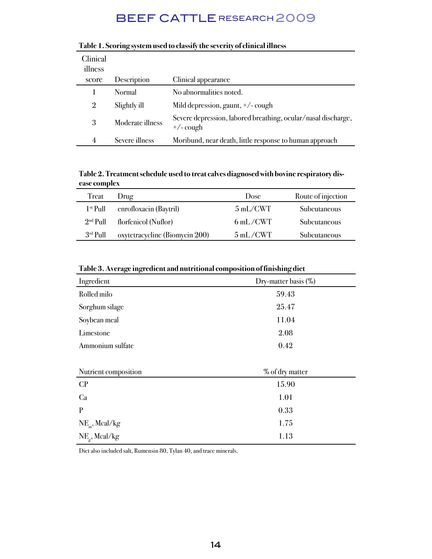| Clinical<br>illness |                  |                                                                              |
|---------------------|------------------|------------------------------------------------------------------------------|
| score               | Description      | Clinical appearance                                                          |
|                     | Normal           | No abnormalities noted.                                                      |
| 2                   | Slightly ill     | Mild depression, gaunt, +/- cough                                            |
| 3                   | Moderate illness | Severe depression, labored breathing, ocular/nasal discharge,<br>$+/-$ cough |
| 4                   | Severe illness   | Moribund, near death, little response to human approach                      |

#### **Table 1. Scoring system used to classify the severity of clinical illness**

**Table 2. Treatment schedule used to treat calves diagnosed with bovine respiratory disease complex**

| Treat                | Drug                           | Dose                        | Route of injection |
|----------------------|--------------------------------|-----------------------------|--------------------|
| 1 <sup>st</sup> Pull | enrofloxacin (Baytril)         | $5 \text{ mL/CWT}$          | Subcutaneous       |
| $2nd$ Pull           | florfenicol (Nuflor)           | $6 \text{ mL}/\text{CWT}$   | Subcutaneous       |
| $3rd$ Pull           | oxytetracycline (Biomycin 200) | $5 \text{ mL} / \text{CWT}$ | Subcutaneous       |

| Table 3. Average ingredient and nutritional composition of finishing diet |  |  |  |
|---------------------------------------------------------------------------|--|--|--|

| Ingredient                               | Dry-matter basis (%) |  |  |  |
|------------------------------------------|----------------------|--|--|--|
| Rolled milo                              | 59.43                |  |  |  |
| Sorghum silage                           | 25.47                |  |  |  |
| Soybean meal                             | 11.04                |  |  |  |
| Limestone                                | 2.08                 |  |  |  |
| Ammonium sulfate                         | 0.42                 |  |  |  |
|                                          |                      |  |  |  |
| Nutrient composition                     | % of dry matter      |  |  |  |
| CP                                       | 15.90                |  |  |  |
| Ca                                       | 1.01                 |  |  |  |
| $\mathbf{P}$                             | 0.33                 |  |  |  |
| $NE_{m}$ , Mcal/kg                       | 1.75                 |  |  |  |
| $\text{NE}_{\mathrm{g}}, \text{Mcal/kg}$ | 1.13                 |  |  |  |

Diet also included salt, Rumensin 80, Tylan 40, and trace minerals.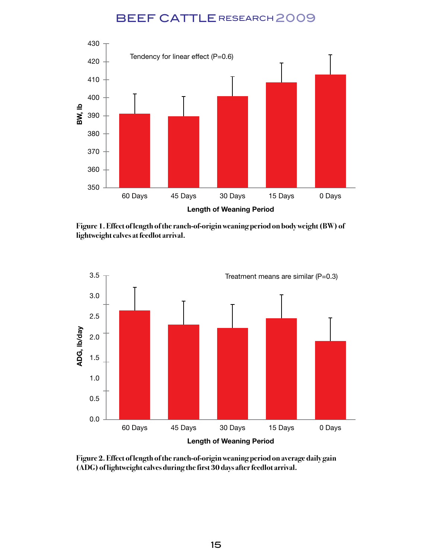

**Figure 1. Effect of length of the ranch-of-origin weaning period on body weight (BW) of lightweight calves at feedlot arrival.**



**Figure 2. Effect of length of the ranch-of-origin weaning period on average daily gain (ADG) of lightweight calves during the first 30 days after feedlot arrival.**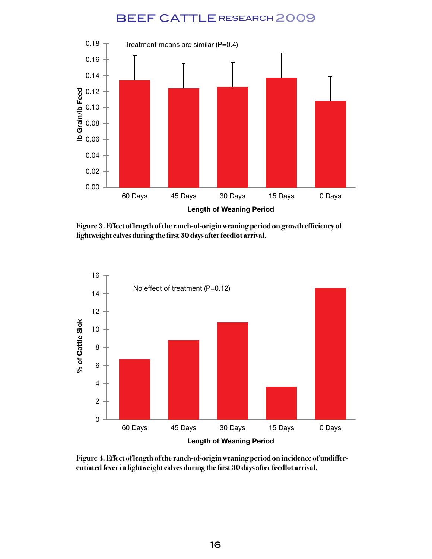

**Figure 3. Effect of length of the ranch-of-origin weaning period on growth efficiency of lightweight calves during the first 30 days after feedlot arrival.**